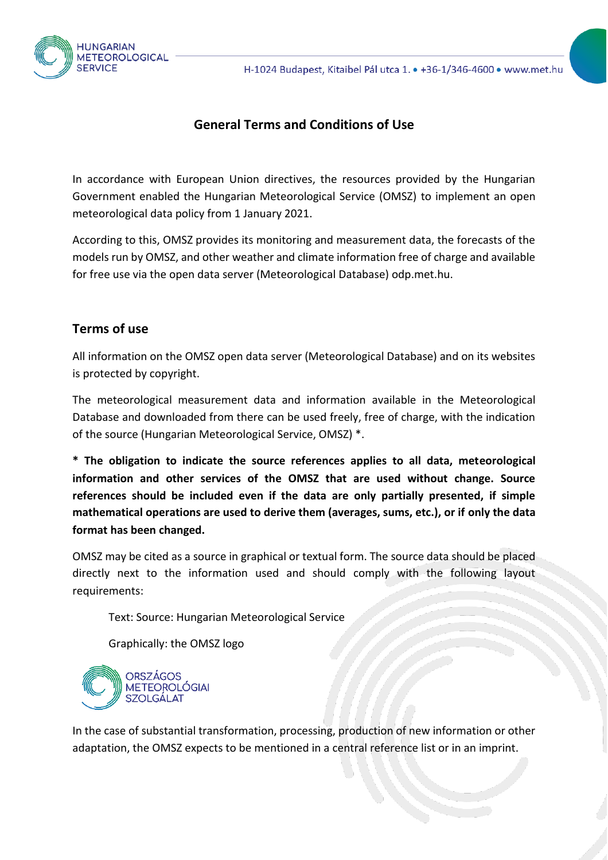

## **General Terms and Conditions of Use**

In accordance with European Union directives, the resources provided by the Hungarian Government enabled the Hungarian Meteorological Service (OMSZ) to implement an open meteorological data policy from 1 January 2021.

According to this, OMSZ provides its monitoring and measurement data, the forecasts of the models run by OMSZ, and other weather and climate information free of charge and available for free use via the open data server (Meteorological Database) odp.met.hu.

## **Terms of use**

All information on the OMSZ open data server (Meteorological Database) and on its websites is protected by copyright.

The meteorological measurement data and information available in the Meteorological Database and downloaded from there can be used freely, free of charge, with the indication of the source (Hungarian Meteorological Service, OMSZ) \*.

**\* The obligation to indicate the source references applies to all data, meteorological information and other services of the OMSZ that are used without change. Source references should be included even if the data are only partially presented, if simple mathematical operations are used to derive them (averages, sums, etc.), or if only the data format has been changed.**

OMSZ may be cited as a source in graphical or textual form. The source data should be placed directly next to the information used and should comply with the following layout requirements:

Text: Source: Hungarian Meteorological Service

Graphically: the OMSZ logo



In the case of substantial transformation, processing, production of new information or other adaptation, the OMSZ expects to be mentioned in a central reference list or in an imprint.